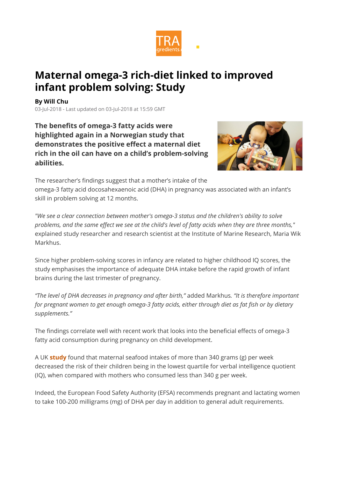

# Maternal omega-3 rich-diet linked to improved infant problem solving: Study

By Will Chu 03-Jul-2018 - Last updated on 03-Jul-2018 at 15:59 GMT

The benefits of omega-3 fatty acids were highlighted again in a Norwegian study that demonstrates the positive effect a maternal diet rich in the oil can have on a child's problem-solving abilities.



The researcher's findings suggest that a mother's intake of the omega-3 fatty acid docosahexaenoic acid (DHA) in pregnancy was associated with an infant's skill in problem solving at 12 months.

"We see a clear connection between mother's omega-3 status and the children's ability to solve problems, and the same effect we see at the child's level of fatty acids when they are three months," explained study researcher and research scientist at the Institute of Marine Research, Maria Wik Markhus.

Since higher problem-solving scores in infancy are related to higher childhood IQ scores, the study emphasises the importance of adequate DHA intake before the rapid growth of infant brains during the last trimester of pregnancy.

"The level of DHA decreases in pregnancy and after birth," added Markhus. "It is therefore important for pregnant women to get enough omega-3 fatty acids, either through diet as fat fish or by dietary supplements."

The findings correlate well with recent work that looks into the beneficial effects of omega-3 fatty acid consumption during pregnancy on child development.

A UK **study** found that maternal seafood intakes of more than 340 grams (g) per week decreased the risk of their children being in the lowest quartile for verbal intelligence quotient (IQ), when compared with mothers who consumed less than 340 g per week.

Indeed, the European Food Safety Authority (EFSA) recommends pregnant and lactating women to take 100-200 milligrams (mg) of DHA per day in addition to general adult requirements.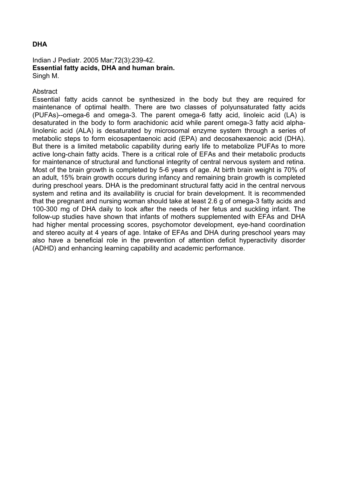# **DHA**

#### Indian J Pediatr. 2005 Mar;72(3):239-42. **Essential fatty acids, DHA and human brain.**  Singh M.

#### **Abstract**

Essential fatty acids cannot be synthesized in the body but they are required for maintenance of optimal health. There are two classes of polyunsaturated fatty acids (PUFAs)--omega-6 and omega-3. The parent omega-6 fatty acid, linoleic acid (LA) is desaturated in the body to form arachidonic acid while parent omega-3 fatty acid alphalinolenic acid (ALA) is desaturated by microsomal enzyme system through a series of metabolic steps to form eicosapentaenoic acid (EPA) and decosahexaenoic acid (DHA). But there is a limited metabolic capability during early life to metabolize PUFAs to more active long-chain fatty acids. There is a critical role of EFAs and their metabolic products for maintenance of structural and functional integrity of central nervous system and retina. Most of the brain growth is completed by 5-6 years of age. At birth brain weight is 70% of an adult, 15% brain growth occurs during infancy and remaining brain growth is completed during preschool years. DHA is the predominant structural fatty acid in the central nervous system and retina and its availability is crucial for brain development. It is recommended that the pregnant and nursing woman should take at least 2.6 g of omega-3 fatty acids and 100-300 mg of DHA daily to look after the needs of her fetus and suckling infant. The follow-up studies have shown that infants of mothers supplemented with EFAs and DHA had higher mental processing scores, psychomotor development, eye-hand coordination and stereo acuity at 4 years of age. Intake of EFAs and DHA during preschool years may also have a beneficial role in the prevention of attention deficit hyperactivity disorder (ADHD) and enhancing learning capability and academic performance.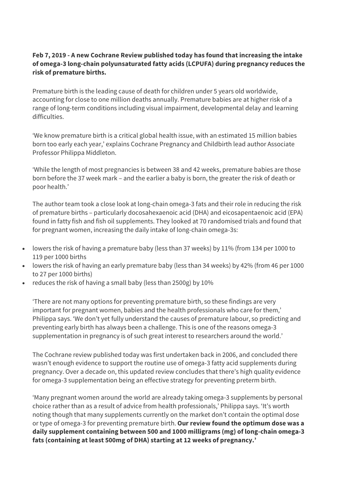# **Feb 7, 2019 - A new Cochrane Review published today has found that increasing the intake of omega-3 long-chain polyunsaturated fatty acids (LCPUFA) during pregnancy reduces the risk of premature births.**

Premature birth is the leading cause of death for children under 5 years old worldwide, accounting for close to one million deaths annually. Premature babies are at higher risk of a range of long-term conditions including visual impairment, developmental delay and learning difficulties.

'We know premature birth is a critical global health issue, with an estimated 15 million babies born too early each year,' explains Cochrane Pregnancy and Childbirth lead author Associate Professor Philippa Middleton.

'While the length of most pregnancies is between 38 and 42 weeks, premature babies are those born before the 37 week mark – and the earlier a baby is born, the greater the risk of death or poor health.'

The author team took a close look at long-chain omega-3 fats and their role in reducing the risk of premature births – particularly docosahexaenoic acid (DHA) and eicosapentaenoic acid (EPA) found in fatty fish and fish oil supplements. They looked at 70 randomised trials and found that for pregnant women, increasing the daily intake of long-chain omega-3s:

- lowers the risk of having a premature baby (less than 37 weeks) by 11% (from 134 per 1000 to 119 per 1000 births
- lowers the risk of having an early premature baby (less than 34 weeks) by 42% (from 46 per 1000 to 27 per 1000 births)
- reduces the risk of having a small baby (less than 2500g) by 10%

'There are not many options for preventing premature birth, so these findings are very important for pregnant women, babies and the health professionals who care for them,' Philippa says. 'We don't yet fully understand the causes of premature labour, so predicting and preventing early birth has always been a challenge. This is one of the reasons omega-3 supplementation in pregnancy is of such great interest to researchers around the world.'

The Cochrane review published today was first undertaken back in 2006, and concluded there wasn't enough evidence to support the routine use of omega-3 fatty acid supplements during pregnancy. Over a decade on, this updated review concludes that there's high quality evidence for omega-3 supplementation being an effective strategy for preventing preterm birth.

'Many pregnant women around the world are already taking omega-3 supplements by personal choice rather than as a result of advice from health professionals,' Philippa says. 'It's worth noting though that many supplements currently on the market don't contain the optimal dose or type of omega-3 for preventing premature birth. **Our review found the optimum dose was a daily supplement containing between 500 and 1000 milligrams (mg) of long-chain omega-3 fats (containing at least 500mg of DHA) starting at 12 weeks of pregnancy.'**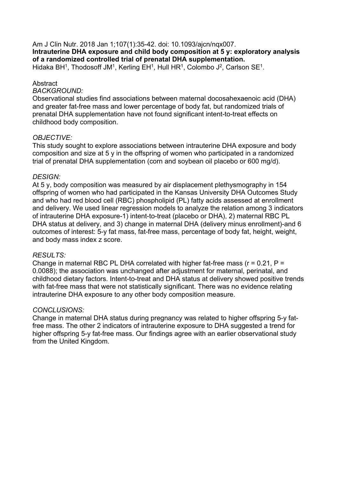Am J Clin Nutr. 2018 Jan 1;107(1):35-42. doi: 10.1093/ajcn/nqx007. **Intrauterine DHA exposure and child body composition at 5 y: exploratory analysis of a randomized controlled trial of prenatal DHA supplementation.** Hidaka BH<sup>1</sup>, Thodosoff JM<sup>1</sup>, Kerling EH<sup>1</sup>, Hull HR<sup>1</sup>, Colombo J<sup>2</sup>, Carlson SE<sup>1</sup>.

#### **Abstract**

#### *BACKGROUND:*

Observational studies find associations between maternal docosahexaenoic acid (DHA) and greater fat-free mass and lower percentage of body fat, but randomized trials of prenatal DHA supplementation have not found significant intent-to-treat effects on childhood body composition.

# *OBJECTIVE:*

This study sought to explore associations between intrauterine DHA exposure and body composition and size at 5 y in the offspring of women who participated in a randomized trial of prenatal DHA supplementation (corn and soybean oil placebo or 600 mg/d).

# *DESIGN:*

At 5 y, body composition was measured by air displacement plethysmography in 154 offspring of women who had participated in the Kansas University DHA Outcomes Study and who had red blood cell (RBC) phospholipid (PL) fatty acids assessed at enrollment and delivery. We used linear regression models to analyze the relation among 3 indicators of intrauterine DHA exposure-1) intent-to-treat (placebo or DHA), 2) maternal RBC PL DHA status at delivery, and 3) change in maternal DHA (delivery minus enrollment)-and 6 outcomes of interest: 5-y fat mass, fat-free mass, percentage of body fat, height, weight, and body mass index z score.

#### *RESULTS:*

Change in maternal RBC PL DHA correlated with higher fat-free mass ( $r = 0.21$ ,  $P =$ 0.0088); the association was unchanged after adjustment for maternal, perinatal, and childhood dietary factors. Intent-to-treat and DHA status at delivery showed positive trends with fat-free mass that were not statistically significant. There was no evidence relating intrauterine DHA exposure to any other body composition measure.

# *CONCLUSIONS:*

Change in maternal DHA status during pregnancy was related to higher offspring 5-y fatfree mass. The other 2 indicators of intrauterine exposure to DHA suggested a trend for higher offspring 5-y fat-free mass. Our findings agree with an earlier observational study from the United Kingdom.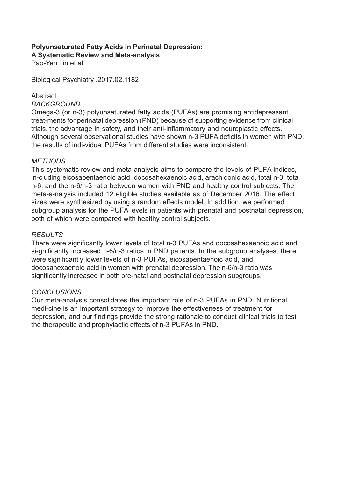# **Polyunsaturated Fatty Acids in Perinatal Depression:**

**A Systematic Review and Meta-analysis**

Pao-Yen Lin et al.

Biological Psychiatry .2017.02.1182

# **Abstract**

*BACKGROUND*

Omega-3 (or n-3) polyunsaturated fatty acids (PUFAs) are promising antidepressant treat-ments for perinatal depression (PND) because of supporting evidence from clinical trials, the advantage in safety, and their anti-inflammatory and neuroplastic effects. Although several observational studies have shown n-3 PUFA deficits in women with PND, the results of indi-vidual PUFAs from different studies were inconsistent.

# *METHODS*

This systematic review and meta-analysis aims to compare the levels of PUFA indices, in-cluding eicosapentaenoic acid, docosahexaenoic acid, arachidonic acid, total n-3, total n-6, and the n-6/n-3 ratio between women with PND and healthy control subjects. The meta-a-nalysis included 12 eligible studies available as of December 2016. The effect sizes were synthesized by using a random effects model. In addition, we performed subgroup analysis for the PUFA levels in patients with prenatal and postnatal depression, both of which were compared with healthy control subjects.

# *RESULTS*

There were significantly lower levels of total n-3 PUFAs and docosahexaenoic acid and si-gnificantly increased n-6/n-3 ratios in PND patients. In the subgroup analyses, there were significantly lower levels of n-3 PUFAs, eicosapentaenoic acid, and docosahexaenoic acid in women with prenatal depression. The n-6/n-3 ratio was significantly increased in both pre-natal and postnatal depression subgroups.

# *CONCLUSIONS*

Our meta-analysis consolidates the important role of n-3 PUFAs in PND. Nutritional medi-cine is an important strategy to improve the effectiveness of treatment for depression, and our findings provide the strong rationale to conduct clinical trials to test the therapeutic and prophylactic effects of n-3 PUFAs in PND.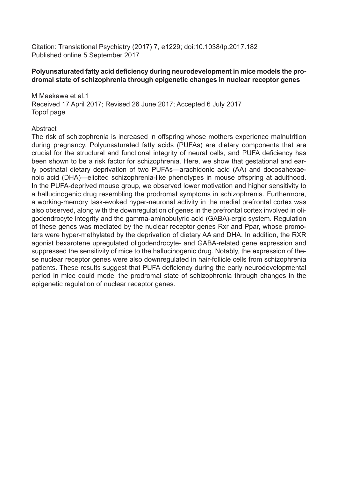Citation: Translational Psychiatry (2017) 7, e1229; doi:10.1038/tp.2017.182 Published online 5 September 2017

# **Polyunsaturated fatty acid deficiency during neurodevelopment in mice models the prodromal state of schizophrenia through epigenetic changes in nuclear receptor genes**

M Maekawa et al.1 Received 17 April 2017; Revised 26 June 2017; Accepted 6 July 2017 Topof page

# **Abstract**

The risk of schizophrenia is increased in offspring whose mothers experience malnutrition during pregnancy. Polyunsaturated fatty acids (PUFAs) are dietary components that are crucial for the structural and functional integrity of neural cells, and PUFA deficiency has been shown to be a risk factor for schizophrenia. Here, we show that gestational and early postnatal dietary deprivation of two PUFAs—arachidonic acid (AA) and docosahexaenoic acid (DHA)—elicited schizophrenia-like phenotypes in mouse offspring at adulthood. In the PUFA-deprived mouse group, we observed lower motivation and higher sensitivity to a hallucinogenic drug resembling the prodromal symptoms in schizophrenia. Furthermore, a working-memory task-evoked hyper-neuronal activity in the medial prefrontal cortex was also observed, along with the downregulation of genes in the prefrontal cortex involved in oligodendrocyte integrity and the gamma-aminobutyric acid (GABA)-ergic system. Regulation of these genes was mediated by the nuclear receptor genes Rxr and Ppar, whose promoters were hyper-methylated by the deprivation of dietary AA and DHA. In addition, the RXR agonist bexarotene upregulated oligodendrocyte- and GABA-related gene expression and suppressed the sensitivity of mice to the hallucinogenic drug. Notably, the expression of these nuclear receptor genes were also downregulated in hair-follicle cells from schizophrenia patients. These results suggest that PUFA deficiency during the early neurodevelopmental period in mice could model the prodromal state of schizophrenia through changes in the epigenetic regulation of nuclear receptor genes.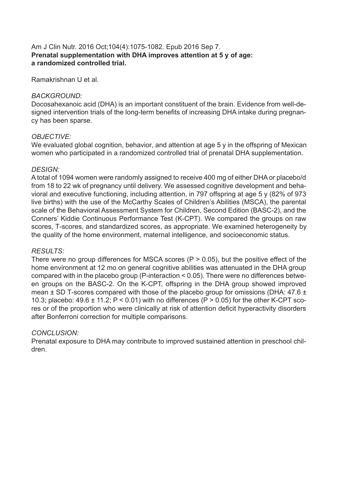# Am J Clin Nutr. 2016 Oct;104(4):1075-1082. Epub 2016 Sep 7. **Prenatal supplementation with DHA improves attention at 5 y of age: a randomized controlled trial.**

Ramakrishnan U et al.

# *BACKGROUND:*

Docosahexanoic acid (DHA) is an important constituent of the brain. Evidence from well-designed intervention trials of the long-term benefits of increasing DHA intake during pregnancy has been sparse.

# *OBJECTIVE:*

We evaluated global cognition, behavior, and attention at age 5 y in the offspring of Mexican women who participated in a randomized controlled trial of prenatal DHA supplementation.

# *DESIGN:*

A total of 1094 women were randomly assigned to receive 400 mg of either DHA or placebo/d from 18 to 22 wk of pregnancy until delivery. We assessed cognitive development and behavioral and executive functioning, including attention, in 797 offspring at age 5 y (82% of 973 live births) with the use of the McCarthy Scales of Children's Abilities (MSCA), the parental scale of the Behavioral Assessment System for Children, Second Edition (BASC-2), and the Conners' Kiddie Continuous Performance Test (K-CPT). We compared the groups on raw scores, T-scores, and standardized scores, as appropriate. We examined heterogeneity by the quality of the home environment, maternal intelligence, and socioeconomic status.

# *RESULTS:*

There were no group differences for MSCA scores ( $P > 0.05$ ), but the positive effect of the home environment at 12 mo on general cognitive abilities was attenuated in the DHA group compared with in the placebo group (P-interaction < 0.05). There were no differences between groups on the BASC-2. On the K-CPT, offspring in the DHA group showed improved mean  $\pm$  SD T-scores compared with those of the placebo group for omissions (DHA: 47.6  $\pm$ 10.3; placebo:  $49.6 \pm 11.2$ ; P < 0.01) with no differences (P > 0.05) for the other K-CPT scores or of the proportion who were clinically at risk of attention deficit hyperactivity disorders after Bonferroni correction for multiple comparisons.

# *CONCLUSION:*

Prenatal exposure to DHA may contribute to improved sustained attention in preschool children.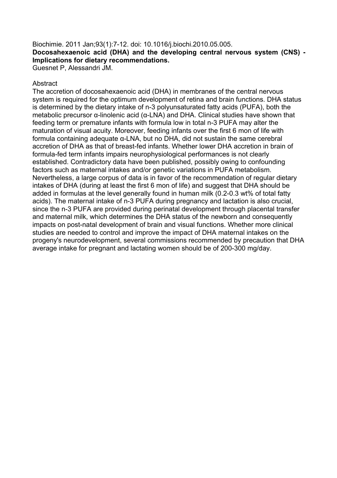# Biochimie. 2011 Jan;93(1):7-12. doi: 10.1016/j.biochi.2010.05.005. **Docosahexaenoic acid (DHA) and the developing central nervous system (CNS) - Implications for dietary recommendations.**

Guesnet P, Alessandri JM.

# **Abstract**

The accretion of docosahexaenoic acid (DHA) in membranes of the central nervous system is required for the optimum development of retina and brain functions. DHA status is determined by the dietary intake of n-3 polyunsaturated fatty acids (PUFA), both the metabolic precursor α-linolenic acid (α-LNA) and DHA. Clinical studies have shown that feeding term or premature infants with formula low in total n-3 PUFA may alter the maturation of visual acuity. Moreover, feeding infants over the first 6 mon of life with formula containing adequate α-LNA, but no DHA, did not sustain the same cerebral accretion of DHA as that of breast-fed infants. Whether lower DHA accretion in brain of formula-fed term infants impairs neurophysiological performances is not clearly established. Contradictory data have been published, possibly owing to confounding factors such as maternal intakes and/or genetic variations in PUFA metabolism. Nevertheless, a large corpus of data is in favor of the recommendation of regular dietary intakes of DHA (during at least the first 6 mon of life) and suggest that DHA should be added in formulas at the level generally found in human milk (0.2-0.3 wt% of total fatty acids). The maternal intake of n-3 PUFA during pregnancy and lactation is also crucial, since the n-3 PUFA are provided during perinatal development through placental transfer and maternal milk, which determines the DHA status of the newborn and consequently impacts on post-natal development of brain and visual functions. Whether more clinical studies are needed to control and improve the impact of DHA maternal intakes on the progeny's neurodevelopment, several commissions recommended by precaution that DHA average intake for pregnant and lactating women should be of 200-300 mg/day.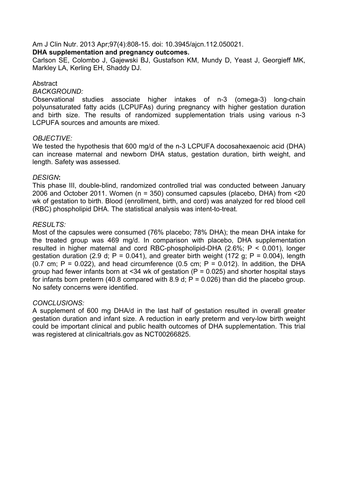Am J Clin Nutr. 2013 Apr;97(4):808-15. doi: 10.3945/ajcn.112.050021.

#### **DHA supplementation and pregnancy outcomes.**

Carlson SE, Colombo J, Gajewski BJ, Gustafson KM, Mundy D, Yeast J, Georgieff MK, Markley LA, Kerling EH, Shaddy DJ.

#### **Abstract**

#### *BACKGROUND:*

Observational studies associate higher intakes of n-3 (omega-3) long-chain polyunsaturated fatty acids (LCPUFAs) during pregnancy with higher gestation duration and birth size. The results of randomized supplementation trials using various n-3 LCPUFA sources and amounts are mixed.

#### *OBJECTIVE:*

We tested the hypothesis that 600 mg/d of the n-3 LCPUFA docosahexaenoic acid (DHA) can increase maternal and newborn DHA status, gestation duration, birth weight, and length. Safety was assessed.

#### *DESIGN***:**

This phase III, double-blind, randomized controlled trial was conducted between January 2006 and October 2011. Women (n = 350) consumed capsules (placebo, DHA) from <20 wk of gestation to birth. Blood (enrollment, birth, and cord) was analyzed for red blood cell (RBC) phospholipid DHA. The statistical analysis was intent-to-treat.

#### *RESULTS:*

Most of the capsules were consumed (76% placebo; 78% DHA); the mean DHA intake for the treated group was 469 mg/d. In comparison with placebo, DHA supplementation resulted in higher maternal and cord RBC-phospholipid-DHA (2.6%; P < 0.001), longer gestation duration (2.9 d;  $P = 0.041$ ), and greater birth weight (172 g;  $P = 0.004$ ), length  $(0.7 \text{ cm}; \text{ P} = 0.022)$ , and head circumference  $(0.5 \text{ cm}; \text{ P} = 0.012)$ . In addition, the DHA group had fewer infants born at <34 wk of gestation ( $P = 0.025$ ) and shorter hospital stays for infants born preterm (40.8 compared with 8.9 d;  $P = 0.026$ ) than did the placebo group. No safety concerns were identified.

# *CONCLUSIONS:*

A supplement of 600 mg DHA/d in the last half of gestation resulted in overall greater gestation duration and infant size. A reduction in early preterm and very-low birth weight could be important clinical and public health outcomes of DHA supplementation. This trial was registered at clinicaltrials.gov as NCT00266825.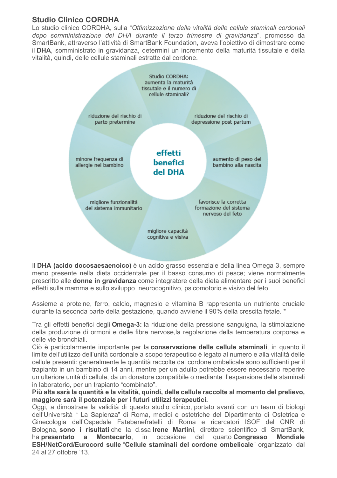# **Studio Clinico CORDHA**

Lo studio clinico CORDHA, sulla "*Ottimizzazione della vitalità delle cellule staminali cordonali dopo somministrazione del DHA durante il terzo trimestre di gravidanza*", promosso da SmartBank, attraverso l'attività di SmartBank Foundation, aveva l'obiettivo di dimostrare come il **DHA**, somministrato in gravidanza, determini un incremento della maturità tissutale e della vitalità, quindi, delle cellule staminali estratte dal cordone.



Il **DHA (acido docosaesaenoico)** è un acido grasso essenziale della linea Omega 3, sempre meno presente nella dieta occidentale per il basso consumo di pesce; viene normalmente prescritto alle **donne in gravidanza** come integratore della dieta alimentare per i suoi benefici effetti sulla mamma e sullo sviluppo neurocognitivo, psicomotorio e visivo del feto.

Assieme a proteine, ferro, calcio, magnesio e vitamina B rappresenta un nutriente cruciale durante la seconda parte della gestazione, quando avviene il 90% della crescita fetale. \*

Tra gli effetti benefici degli **Omega-3:** la riduzione della pressione sanguigna, la stimolazione della produzione di ormoni e delle fibre nervose,la regolazione della temperatura corporea e delle vie bronchiali.

Ciò è particolarmente importante per la **conservazione delle cellule staminali**, in quanto il limite dell'utilizzo dell'unità cordonale a scopo terapeutico è legato al numero e alla vitalità delle cellule presenti: generalmente le quantità raccolte dal cordone ombelicale sono sufficienti per il trapianto in un bambino di 14 anni, mentre per un adulto potrebbe essere necessario reperire un ulteriore unità di cellule, da un donatore compatibile o mediante l'espansione delle staminali in laboratorio, per un trapianto "combinato".

**Più alta sarà la quantità e la vitalità, quindi, delle cellule raccolte al momento del prelievo, maggiore sarà il potenziale per i futuri utilizzi terapeutici.**

Oggi, a dimostrare la validità di questo studio clinico, portato avanti con un team di biologi dell'Università " La Sapienza" di Roma, medici e ostetriche del Dipartimento di Ostetrica e Ginecologia dell'Ospedale Fatebenefratelli di Roma e ricercatori ISOF del CNR di Bologna, **sono i risultati** che la d.ssa **Irene Martini**, direttore scientifico di SmartBank, ha **presentato a Montecarlo**, in occasione del quarto **Congresso Mondiale ESH/NetCord/Eurocord sulle** "**Cellule staminali del cordone ombelicale**" organizzato dal 24 al 27 ottobre '13.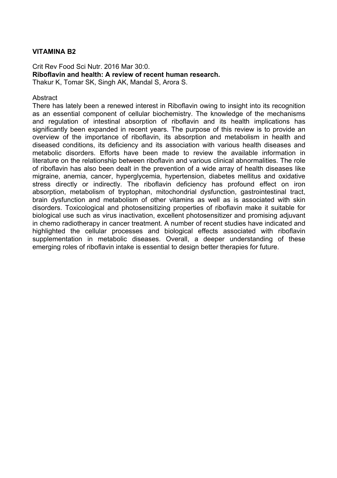#### **VITAMINA B2**

Crit Rev Food Sci Nutr. 2016 Mar 30:0. **Riboflavin and health: A review of recent human research.**  Thakur K, Tomar SK, Singh AK, Mandal S, Arora S.

#### **Abstract**

There has lately been a renewed interest in Riboflavin owing to insight into its recognition as an essential component of cellular biochemistry. The knowledge of the mechanisms and regulation of intestinal absorption of riboflavin and its health implications has significantly been expanded in recent years. The purpose of this review is to provide an overview of the importance of riboflavin, its absorption and metabolism in health and diseased conditions, its deficiency and its association with various health diseases and metabolic disorders. Efforts have been made to review the available information in literature on the relationship between riboflavin and various clinical abnormalities. The role of riboflavin has also been dealt in the prevention of a wide array of health diseases like migraine, anemia, cancer, hyperglycemia, hypertension, diabetes mellitus and oxidative stress directly or indirectly. The riboflavin deficiency has profound effect on iron absorption, metabolism of tryptophan, mitochondrial dysfunction, gastrointestinal tract, brain dysfunction and metabolism of other vitamins as well as is associated with skin disorders. Toxicological and photosensitizing properties of riboflavin make it suitable for biological use such as virus inactivation, excellent photosensitizer and promising adjuvant in chemo radiotherapy in cancer treatment. A number of recent studies have indicated and highlighted the cellular processes and biological effects associated with riboflavin supplementation in metabolic diseases. Overall, a deeper understanding of these emerging roles of riboflavin intake is essential to design better therapies for future.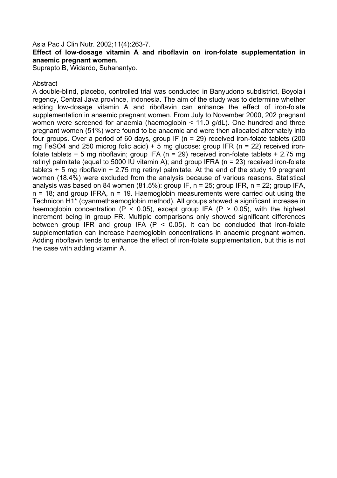#### Asia Pac J Clin Nutr. 2002;11(4):263-7.

# **Effect of low-dosage vitamin A and riboflavin on iron-folate supplementation in anaemic pregnant women.**

Suprapto B, Widardo, Suhanantyo.

#### **Abstract**

A double-blind, placebo, controlled trial was conducted in Banyudono subdistrict, Boyolali regency, Central Java province, Indonesia. The aim of the study was to determine whether adding low-dosage vitamin A and riboflavin can enhance the effect of iron-folate supplementation in anaemic pregnant women. From July to November 2000, 202 pregnant women were screened for anaemia (haemoglobin < 11.0 g/dL). One hundred and three pregnant women (51%) were found to be anaemic and were then allocated alternately into four groups. Over a period of 60 days, group IF (n = 29) received iron-folate tablets (200 mg FeSO4 and 250 microg folic acid)  $+5$  mg glucose: group IFR (n = 22) received ironfolate tablets + 5 mg riboflavin; group IFA ( $n = 29$ ) received iron-folate tablets + 2.75 mg retinyl palmitate (equal to 5000 IU vitamin A); and group IFRA (n = 23) received iron-folate tablets  $+5$  mg riboflavin  $+2.75$  mg retinyl palmitate. At the end of the study 19 pregnant women (18.4%) were excluded from the analysis because of various reasons. Statistical analysis was based on 84 women  $(81.5\%)$ : group IF,  $n = 25$ ; group IFR,  $n = 22$ ; group IFA,  $n = 18$ ; and group IFRA,  $n = 19$ . Haemoglobin measurements were carried out using the Technicon H1\* (cyanmethaemoglobin method). All groups showed a significant increase in haemoglobin concentration ( $P < 0.05$ ), except group IFA ( $P > 0.05$ ), with the highest increment being in group FR. Multiple comparisons only showed significant differences between group IFR and group IFA  $(P < 0.05)$ . It can be concluded that iron-folate supplementation can increase haemoglobin concentrations in anaemic pregnant women. Adding riboflavin tends to enhance the effect of iron-folate supplementation, but this is not the case with adding vitamin A.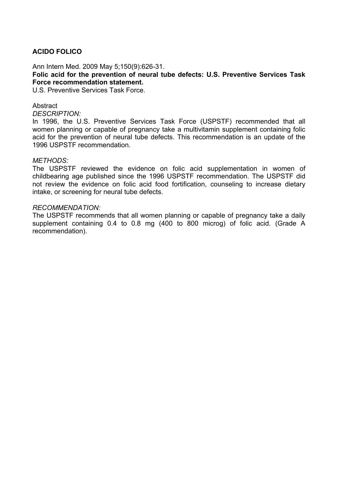# **ACIDO FOLICO**

Ann Intern Med. 2009 May 5;150(9):626-31.

**Folic acid for the prevention of neural tube defects: U.S. Preventive Services Task Force recommendation statement.** 

U.S. Preventive Services Task Force.

#### Abstract

#### *DESCRIPTION:*

In 1996, the U.S. Preventive Services Task Force (USPSTF) recommended that all women planning or capable of pregnancy take a multivitamin supplement containing folic acid for the prevention of neural tube defects. This recommendation is an update of the 1996 USPSTF recommendation.

#### *METHODS:*

The USPSTF reviewed the evidence on folic acid supplementation in women of childbearing age published since the 1996 USPSTF recommendation. The USPSTF did not review the evidence on folic acid food fortification, counseling to increase dietary intake, or screening for neural tube defects.

#### *RECOMMENDATION:*

The USPSTF recommends that all women planning or capable of pregnancy take a daily supplement containing 0.4 to 0.8 mg (400 to 800 microg) of folic acid. (Grade A recommendation).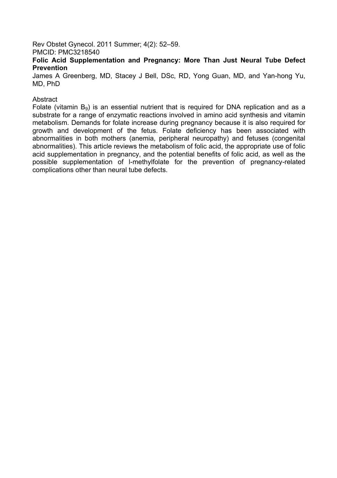Rev Obstet Gynecol. 2011 Summer; 4(2): 52–59.

PMCID: PMC3218540

**Folic Acid Supplementation and Pregnancy: More Than Just Neural Tube Defect Prevention**

James A Greenberg, MD, Stacey J Bell, DSc, RD, Yong Guan, MD, and Yan-hong Yu, MD, PhD

Abstract

Folate (vitamin  $B_9$ ) is an essential nutrient that is required for DNA replication and as a substrate for a range of enzymatic reactions involved in amino acid synthesis and vitamin metabolism. Demands for folate increase during pregnancy because it is also required for growth and development of the fetus. Folate deficiency has been associated with abnormalities in both mothers (anemia, peripheral neuropathy) and fetuses (congenital abnormalities). This article reviews the metabolism of folic acid, the appropriate use of folic acid supplementation in pregnancy, and the potential benefits of folic acid, as well as the possible supplementation of l-methylfolate for the prevention of pregnancy-related complications other than neural tube defects.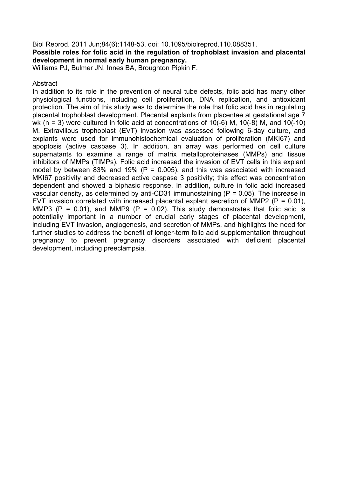# Biol Reprod. 2011 Jun;84(6):1148-53. doi: 10.1095/biolreprod.110.088351. **Possible roles for folic acid in the regulation of trophoblast invasion and placental development in normal early human pregnancy.**

Williams PJ, Bulmer JN, Innes BA, Broughton Pipkin F.

**Abstract** 

In addition to its role in the prevention of neural tube defects, folic acid has many other physiological functions, including cell proliferation, DNA replication, and antioxidant protection. The aim of this study was to determine the role that folic acid has in regulating placental trophoblast development. Placental explants from placentae at gestational age 7 wk (n = 3) were cultured in folic acid at concentrations of  $10(-6)$  M,  $10(-8)$  M, and  $10(-10)$ M. Extravillous trophoblast (EVT) invasion was assessed following 6-day culture, and explants were used for immunohistochemical evaluation of proliferation (MKI67) and apoptosis (active caspase 3). In addition, an array was performed on cell culture supernatants to examine a range of matrix metalloproteinases (MMPs) and tissue inhibitors of MMPs (TIMPs). Folic acid increased the invasion of EVT cells in this explant model by between 83% and 19% ( $P = 0.005$ ), and this was associated with increased MKI67 positivity and decreased active caspase 3 positivity; this effect was concentration dependent and showed a biphasic response. In addition, culture in folic acid increased vascular density, as determined by anti-CD31 immunostaining  $(P = 0.05)$ . The increase in EVT invasion correlated with increased placental explant secretion of MMP2 ( $P = 0.01$ ), MMP3 (P = 0.01), and MMP9 (P = 0.02). This study demonstrates that folic acid is potentially important in a number of crucial early stages of placental development, including EVT invasion, angiogenesis, and secretion of MMPs, and highlights the need for further studies to address the benefit of longer-term folic acid supplementation throughout pregnancy to prevent pregnancy disorders associated with deficient placental development, including preeclampsia.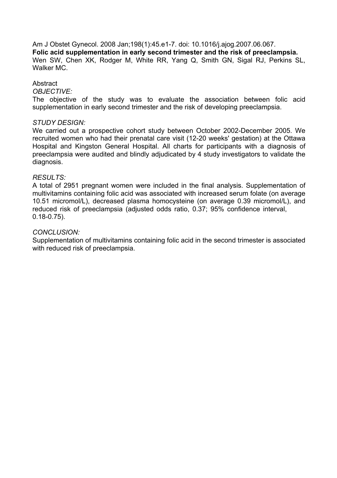Am J Obstet Gynecol. 2008 Jan;198(1):45.e1-7. doi: 10.1016/j.ajog.2007.06.067. **Folic acid supplementation in early second trimester and the risk of preeclampsia.**  Wen SW, Chen XK, Rodger M, White RR, Yang Q, Smith GN, Sigal RJ, Perkins SL, Walker MC.

#### **Abstract**

*OBJECTIVE:* 

The objective of the study was to evaluate the association between folic acid supplementation in early second trimester and the risk of developing preeclampsia.

#### *STUDY DESIGN:*

We carried out a prospective cohort study between October 2002-December 2005. We recruited women who had their prenatal care visit (12-20 weeks' gestation) at the Ottawa Hospital and Kingston General Hospital. All charts for participants with a diagnosis of preeclampsia were audited and blindly adjudicated by 4 study investigators to validate the diagnosis.

#### *RESULTS:*

A total of 2951 pregnant women were included in the final analysis. Supplementation of multivitamins containing folic acid was associated with increased serum folate (on average 10.51 micromol/L), decreased plasma homocysteine (on average 0.39 micromol/L), and reduced risk of preeclampsia (adjusted odds ratio, 0.37; 95% confidence interval, 0.18-0.75).

#### *CONCLUSION:*

Supplementation of multivitamins containing folic acid in the second trimester is associated with reduced risk of preeclampsia.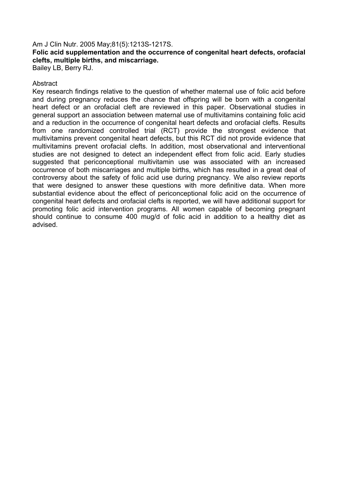#### Am J Clin Nutr. 2005 May;81(5):1213S-1217S. **Folic acid supplementation and the occurrence of congenital heart defects, orofacial clefts, multiple births, and miscarriage.**  Bailey LB, Berry RJ.

**Abstract** 

Key research findings relative to the question of whether maternal use of folic acid before and during pregnancy reduces the chance that offspring will be born with a congenital heart defect or an orofacial cleft are reviewed in this paper. Observational studies in general support an association between maternal use of multivitamins containing folic acid and a reduction in the occurrence of congenital heart defects and orofacial clefts. Results from one randomized controlled trial (RCT) provide the strongest evidence that multivitamins prevent congenital heart defects, but this RCT did not provide evidence that multivitamins prevent orofacial clefts. In addition, most observational and interventional studies are not designed to detect an independent effect from folic acid. Early studies suggested that periconceptional multivitamin use was associated with an increased occurrence of both miscarriages and multiple births, which has resulted in a great deal of controversy about the safety of folic acid use during pregnancy. We also review reports that were designed to answer these questions with more definitive data. When more substantial evidence about the effect of periconceptional folic acid on the occurrence of congenital heart defects and orofacial clefts is reported, we will have additional support for promoting folic acid intervention programs. All women capable of becoming pregnant should continue to consume 400 mug/d of folic acid in addition to a healthy diet as advised.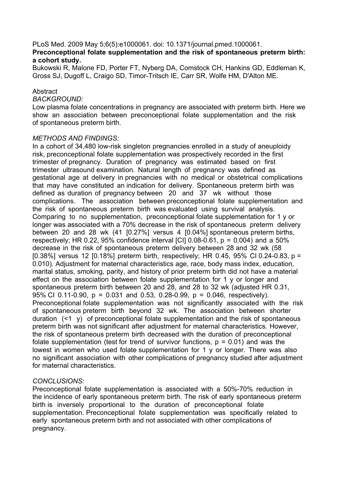PLoS Med. 2009 May 5;6(5):e1000061. doi: 10.1371/journal.pmed.1000061. **Preconceptional folate supplementation and the risk of spontaneous preterm birth: a cohort study.** 

Bukowski R, Malone FD, Porter FT, Nyberg DA, Comstock CH, Hankins GD, Eddleman K, Gross SJ, Dugoff L, Craigo SD, Timor-Tritsch IE, Carr SR, Wolfe HM, D'Alton ME.

#### **Abstract**

#### *BACKGROUND:*

Low plasma folate concentrations in pregnancy are associated with preterm birth. Here we show an association between preconceptional folate supplementation and the risk of spontaneous preterm birth.

#### *METHODS AND FINDINGS:*

In a cohort of 34,480 low-risk singleton pregnancies enrolled in a study of aneuploidy risk, preconceptional folate supplementation was prospectively recorded in the first trimester of pregnancy. Duration of pregnancy was estimated based on first trimester ultrasound examination. Natural length of pregnancy was defined as gestational age at delivery in pregnancies with no medical or obstetrical complications that may have constituted an indication for delivery. Spontaneous preterm birth was defined as duration of pregnancy between 20 and 37 wk without those complications. The association between preconceptional folate supplementation and the risk of spontaneous preterm birth was evaluated using survival analysis. Comparing to no supplementation, preconceptional folate supplementation for 1 y or longer was associated with a 70% decrease in the risk of spontaneous preterm delivery between 20 and 28 wk (41 [0.27%] versus 4 [0.04%] spontaneous preterm births, respectively; HR 0.22, 95% confidence interval [CI]  $0.08-0.61$ ,  $p = 0.004$ ) and a 50% decrease in the risk of spontaneous preterm delivery between 28 and 32 wk (58 [0.38%] versus 12 [0.18%] preterm birth, respectively; HR 0.45, 95% CI 0.24-0.83, p = 0.010). Adjustment for maternal characteristics age, race, body mass index, education, marital status, smoking, parity, and history of prior preterm birth did not have a material effect on the association between folate supplementation for 1 y or longer and spontaneous preterm birth between 20 and 28, and 28 to 32 wk (adjusted HR 0.31, 95% CI 0.11-0.90,  $p = 0.031$  and 0.53, 0.28-0.99,  $p = 0.046$ , respectively). Preconceptional folate supplementation was not significantly associated with the risk of spontaneous preterm birth beyond 32 wk. The association between shorter duration  $(\leq 1 \, y)$  of preconceptional folate supplementation and the risk of spontaneous preterm birth was not significant after adjustment for maternal characteristics. However, the risk of spontaneous preterm birth decreased with the duration of preconceptional folate supplementation (test for trend of survivor functions,  $p = 0.01$ ) and was the lowest in women who used folate supplementation for 1 y or longer. There was also no significant association with other complications of pregnancy studied after adjustment for maternal characteristics.

#### *CONCLUSIONS:*

Preconceptional folate supplementation is associated with a 50%-70% reduction in the incidence of early spontaneous preterm birth. The risk of early spontaneous preterm birth is inversely proportional to the duration of preconceptional folate supplementation. Preconceptional folate supplementation was specifically related to early spontaneous preterm birth and not associated with other complications of pregnancy.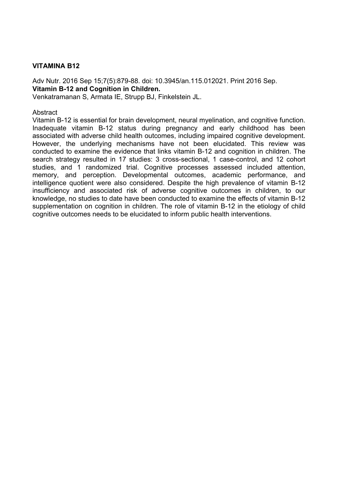# **VITAMINA B12**

Adv Nutr. 2016 Sep 15;7(5):879-88. doi: 10.3945/an.115.012021. Print 2016 Sep. **Vitamin B-12 and Cognition in Children.**  Venkatramanan S, Armata IE, Strupp BJ, Finkelstein JL.

# **Abstract**

Vitamin B-12 is essential for brain development, neural myelination, and cognitive function. Inadequate vitamin B-12 status during pregnancy and early childhood has been associated with adverse child health outcomes, including impaired cognitive development. However, the underlying mechanisms have not been elucidated. This review was conducted to examine the evidence that links vitamin B-12 and cognition in children. The search strategy resulted in 17 studies: 3 cross-sectional, 1 case-control, and 12 cohort studies, and 1 randomized trial. Cognitive processes assessed included attention, memory, and perception. Developmental outcomes, academic performance, and intelligence quotient were also considered. Despite the high prevalence of vitamin B-12 insufficiency and associated risk of adverse cognitive outcomes in children, to our knowledge, no studies to date have been conducted to examine the effects of vitamin B-12 supplementation on cognition in children. The role of vitamin B-12 in the etiology of child cognitive outcomes needs to be elucidated to inform public health interventions.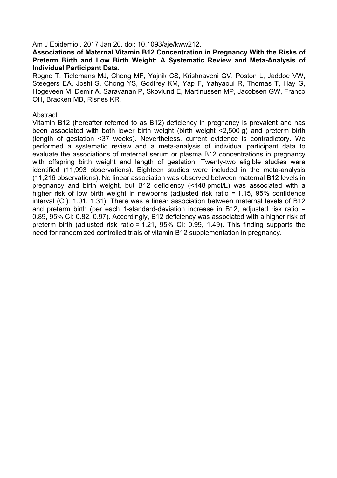#### Am J Epidemiol. 2017 Jan 20. doi: 10.1093/aje/kww212.

#### **Associations of Maternal Vitamin B12 Concentration in Pregnancy With the Risks of Preterm Birth and Low Birth Weight: A Systematic Review and Meta-Analysis of Individual Participant Data.**

Rogne T, Tielemans MJ, Chong MF, Yajnik CS, Krishnaveni GV, Poston L, Jaddoe VW, Steegers EA, Joshi S, Chong YS, Godfrey KM, Yap F, Yahyaoui R, Thomas T, Hay G, Hogeveen M, Demir A, Saravanan P, Skovlund E, Martinussen MP, Jacobsen GW, Franco OH, Bracken MB, Risnes KR.

#### Abstract

Vitamin B12 (hereafter referred to as B12) deficiency in pregnancy is prevalent and has been associated with both lower birth weight (birth weight <2,500 g) and preterm birth (length of gestation <37 weeks). Nevertheless, current evidence is contradictory. We performed a systematic review and a meta-analysis of individual participant data to evaluate the associations of maternal serum or plasma B12 concentrations in pregnancy with offspring birth weight and length of gestation. Twenty-two eligible studies were identified (11,993 observations). Eighteen studies were included in the meta-analysis (11,216 observations). No linear association was observed between maternal B12 levels in pregnancy and birth weight, but B12 deficiency (<148 pmol/L) was associated with a higher risk of low birth weight in newborns (adjusted risk ratio = 1.15, 95% confidence interval (CI): 1.01, 1.31). There was a linear association between maternal levels of B12 and preterm birth (per each 1-standard-deviation increase in B12, adjusted risk ratio = 0.89, 95% CI: 0.82, 0.97). Accordingly, B12 deficiency was associated with a higher risk of preterm birth (adjusted risk ratio = 1.21, 95% CI: 0.99, 1.49). This finding supports the need for randomized controlled trials of vitamin B12 supplementation in pregnancy.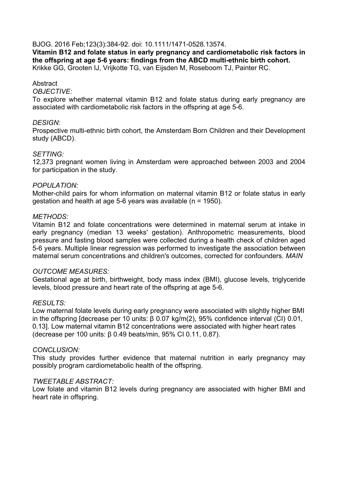#### BJOG. 2016 Feb;123(3):384-92. doi: 10.1111/1471-0528.13574.

**Vitamin B12 and folate status in early pregnancy and cardiometabolic risk factors in the offspring at age 5-6 years: findings from the ABCD multi-ethnic birth cohort.**  Krikke GG, Grooten IJ, Vrijkotte TG, van Eijsden M, Roseboom TJ, Painter RC.

#### **Abstract**

#### *OBJECTIVE:*

To explore whether maternal vitamin B12 and folate status during early pregnancy are associated with cardiometabolic risk factors in the offspring at age 5-6.

#### *DESIGN:*

Prospective multi-ethnic birth cohort, the Amsterdam Born Children and their Development study (ABCD).

#### *SETTING:*

12,373 pregnant women living in Amsterdam were approached between 2003 and 2004 for participation in the study.

#### *POPULATION:*

Mother-child pairs for whom information on maternal vitamin B12 or folate status in early gestation and health at age 5-6 years was available (n = 1950).

#### *METHODS:*

Vitamin B12 and folate concentrations were determined in maternal serum at intake in early pregnancy (median 13 weeks' gestation). Anthropometric measurements, blood pressure and fasting blood samples were collected during a health check of children aged 5-6 years. Multiple linear regression was performed to investigate the association between maternal serum concentrations and children's outcomes, corrected for confounders. *MAIN* 

# *OUTCOME MEASURES:*

Gestational age at birth, birthweight, body mass index (BMI), glucose levels, triglyceride levels, blood pressure and heart rate of the offspring at age 5-6.

# *RESULTS:*

Low maternal folate levels during early pregnancy were associated with slightly higher BMI in the offspring [decrease per 10 units: β 0.07 kg/m(2), 95% confidence interval (CI) 0.01, 0.13]. Low maternal vitamin B12 concentrations were associated with higher heart rates (decrease per 100 units: β 0.49 beats/min, 95% CI 0.11, 0.87).

#### *CONCLUSION:*

This study provides further evidence that maternal nutrition in early pregnancy may possibly program cardiometabolic health of the offspring.

#### *TWEETABLE ABSTRACT:*

Low folate and vitamin B12 levels during pregnancy are associated with higher BMI and heart rate in offspring.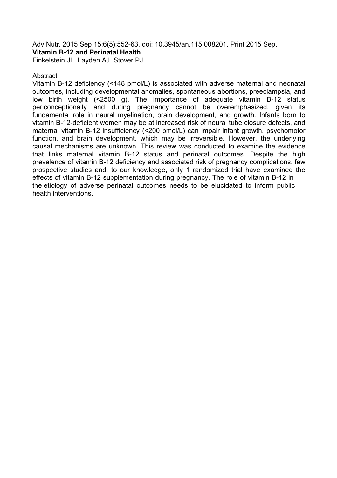Adv Nutr. 2015 Sep 15;6(5):552-63. doi: 10.3945/an.115.008201. Print 2015 Sep. **Vitamin B-12 and Perinatal Health.** 

Finkelstein JL, Layden AJ, Stover PJ.

#### Abstract

Vitamin B-12 deficiency (<148 pmol/L) is associated with adverse maternal and neonatal outcomes, including developmental anomalies, spontaneous abortions, preeclampsia, and low birth weight (<2500 g). The importance of adequate vitamin B-12 status periconceptionally and during pregnancy cannot be overemphasized, given its fundamental role in neural myelination, brain development, and growth. Infants born to vitamin B-12-deficient women may be at increased risk of neural tube closure defects, and maternal vitamin B-12 insufficiency (<200 pmol/L) can impair infant growth, psychomotor function, and brain development, which may be irreversible. However, the underlying causal mechanisms are unknown. This review was conducted to examine the evidence that links maternal vitamin B-12 status and perinatal outcomes. Despite the high prevalence of vitamin B-12 deficiency and associated risk of pregnancy complications, few prospective studies and, to our knowledge, only 1 randomized trial have examined the effects of vitamin B-12 supplementation during pregnancy. The role of vitamin B-12 in the etiology of adverse perinatal outcomes needs to be elucidated to inform public health interventions.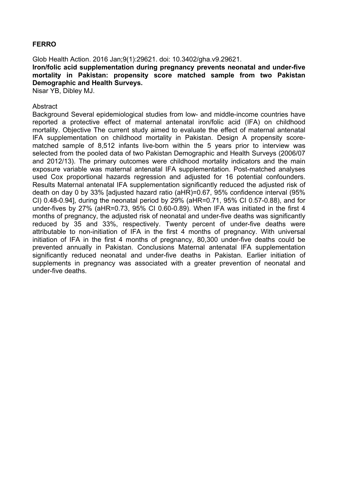# **FERRO**

Glob Health Action. 2016 Jan;9(1):29621. doi: 10.3402/gha.v9.29621.

**Iron/folic acid supplementation during pregnancy prevents neonatal and under-five mortality in Pakistan: propensity score matched sample from two Pakistan Demographic and Health Surveys.** 

Nisar YB, Dibley MJ.

#### Abstract

Background Several epidemiological studies from low- and middle-income countries have reported a protective effect of maternal antenatal iron/folic acid (IFA) on childhood mortality. Objective The current study aimed to evaluate the effect of maternal antenatal IFA supplementation on childhood mortality in Pakistan. Design A propensity scorematched sample of 8,512 infants live-born within the 5 years prior to interview was selected from the pooled data of two Pakistan Demographic and Health Surveys (2006/07 and 2012/13). The primary outcomes were childhood mortality indicators and the main exposure variable was maternal antenatal IFA supplementation. Post-matched analyses used Cox proportional hazards regression and adjusted for 16 potential confounders. Results Maternal antenatal IFA supplementation significantly reduced the adjusted risk of death on day 0 by 33% [adjusted hazard ratio (aHR)=0.67, 95% confidence interval (95% CI) 0.48-0.94], during the neonatal period by 29% (aHR=0.71, 95% CI 0.57-0.88), and for under-fives by 27% (aHR=0.73, 95% CI 0.60-0.89). When IFA was initiated in the first 4 months of pregnancy, the adjusted risk of neonatal and under-five deaths was significantly reduced by 35 and 33%, respectively. Twenty percent of under-five deaths were attributable to non-initiation of IFA in the first 4 months of pregnancy. With universal initiation of IFA in the first 4 months of pregnancy, 80,300 under-five deaths could be prevented annually in Pakistan. Conclusions Maternal antenatal IFA supplementation significantly reduced neonatal and under-five deaths in Pakistan. Earlier initiation of supplements in pregnancy was associated with a greater prevention of neonatal and under-five deaths.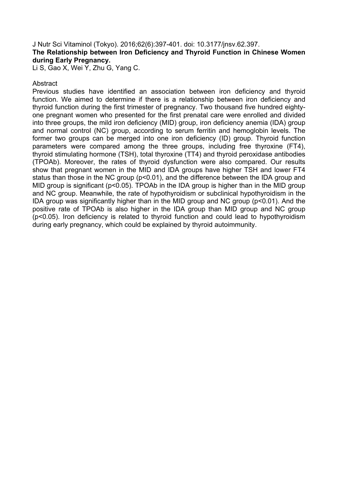# J Nutr Sci Vitaminol (Tokyo). 2016;62(6):397-401. doi: 10.3177/jnsv.62.397. **The Relationship between Iron Deficiency and Thyroid Function in Chinese Women during Early Pregnancy.**

Li S, Gao X, Wei Y, Zhu G, Yang C.

# **Abstract**

Previous studies have identified an association between iron deficiency and thyroid function. We aimed to determine if there is a relationship between iron deficiency and thyroid function during the first trimester of pregnancy. Two thousand five hundred eightyone pregnant women who presented for the first prenatal care were enrolled and divided into three groups, the mild iron deficiency (MID) group, iron deficiency anemia (IDA) group and normal control (NC) group, according to serum ferritin and hemoglobin levels. The former two groups can be merged into one iron deficiency (ID) group. Thyroid function parameters were compared among the three groups, including free thyroxine (FT4), thyroid stimulating hormone (TSH), total thyroxine (TT4) and thyroid peroxidase antibodies (TPOAb). Moreover, the rates of thyroid dysfunction were also compared. Our results show that pregnant women in the MID and IDA groups have higher TSH and lower FT4 status than those in the NC group (p<0.01), and the difference between the IDA group and MID group is significant (p<0.05). TPOAb in the IDA group is higher than in the MID group and NC group. Meanwhile, the rate of hypothyroidism or subclinical hypothyroidism in the IDA group was significantly higher than in the MID group and NC group (p<0.01). And the positive rate of TPOAb is also higher in the IDA group than MID group and NC group (p<0.05). Iron deficiency is related to thyroid function and could lead to hypothyroidism during early pregnancy, which could be explained by thyroid autoimmunity.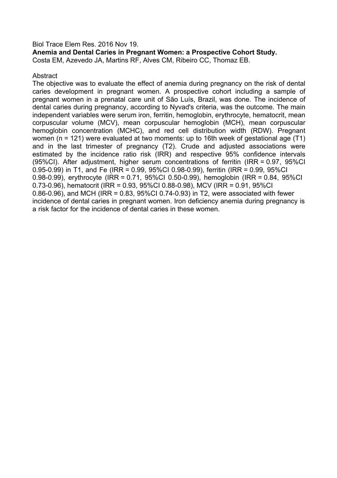#### Biol Trace Elem Res. 2016 Nov 19.

**Anemia and Dental Caries in Pregnant Women: a Prospective Cohort Study.** 

Costa EM, Azevedo JA, Martins RF, Alves CM, Ribeiro CC, Thomaz EB.

#### Abstract

The objective was to evaluate the effect of anemia during pregnancy on the risk of dental caries development in pregnant women. A prospective cohort including a sample of pregnant women in a prenatal care unit of São Luís, Brazil, was done. The incidence of dental caries during pregnancy, according to Nyvad's criteria, was the outcome. The main independent variables were serum iron, ferritin, hemoglobin, erythrocyte, hematocrit, mean corpuscular volume (MCV), mean corpuscular hemoglobin (MCH), mean corpuscular hemoglobin concentration (MCHC), and red cell distribution width (RDW). Pregnant women (n = 121) were evaluated at two moments: up to 16th week of gestational age (T1) and in the last trimester of pregnancy (T2). Crude and adjusted associations were estimated by the incidence ratio risk (IRR) and respective 95% confidence intervals (95%CI). After adjustment, higher serum concentrations of ferritin (IRR = 0.97, 95%CI 0.95-0.99) in T1, and Fe (IRR = 0.99, 95%CI 0.98-0.99), ferritin (IRR = 0.99, 95%CI 0.98-0.99), erythrocyte (IRR = 0.71, 95%CI 0.50-0.99), hemoglobin (IRR = 0.84, 95%CI 0.73-0.96), hematocrit (IRR = 0.93, 95%CI 0.88-0.98), MCV (IRR = 0.91, 95%CI 0.86-0.96), and MCH (IRR = 0.83, 95%CI 0.74-0.93) in T2, were associated with fewer incidence of dental caries in pregnant women. Iron deficiency anemia during pregnancy is a risk factor for the incidence of dental caries in these women.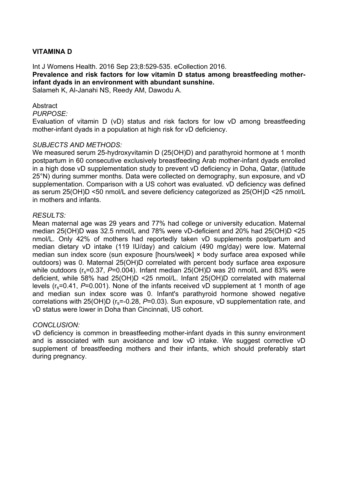# **VITAMINA D**

Int J Womens Health. 2016 Sep 23;8:529-535. eCollection 2016. **Prevalence and risk factors for low vitamin D status among breastfeeding mother-**

**infant dyads in an environment with abundant sunshine.** 

Salameh K, Al-Janahi NS, Reedy AM, Dawodu A.

#### **Abstract**

#### *PURPOSE:*

Evaluation of vitamin D (vD) status and risk factors for low vD among breastfeeding mother-infant dyads in a population at high risk for vD deficiency.

# *SUBJECTS AND METHODS:*

We measured serum 25-hydroxyvitamin D (25(OH)D) and parathyroid hormone at 1 month postpartum in 60 consecutive exclusively breastfeeding Arab mother-infant dyads enrolled in a high dose vD supplementation study to prevent vD deficiency in Doha, Qatar, (latitude 25°N) during summer months. Data were collected on demography, sun exposure, and vD supplementation. Comparison with a US cohort was evaluated. vD deficiency was defined as serum 25(OH)D <50 nmol/L and severe deficiency categorized as 25(OH)D <25 nmol/L in mothers and infants.

#### *RESULTS:*

Mean maternal age was 29 years and 77% had college or university education. Maternal median 25(OH)D was 32.5 nmol/L and 78% were vD-deficient and 20% had 25(OH)D <25 nmol/L. Only 42% of mothers had reportedly taken vD supplements postpartum and median dietary vD intake (119 IU/day) and calcium (490 mg/day) were low. Maternal median sun index score (sun exposure [hours/week] × body surface area exposed while outdoors) was 0. Maternal 25(OH)D correlated with percent body surface area exposure while outdoors (r<sub>s</sub>=0.37, P=0.004). Infant median 25(OH)D was 20 nmol/L and 83% were deficient, while 58% had 25(OH)D <25 nmol/L. Infant 25(OH)D correlated with maternal levels (rs=0.41, *P*=0.001). None of the infants received vD supplement at 1 month of age and median sun index score was 0. Infant's parathyroid hormone showed negative correlations with 25(OH)D (r<sub>s</sub>=-0.28, P=0.03). Sun exposure, vD supplementation rate, and vD status were lower in Doha than Cincinnati, US cohort.

# *CONCLUSION:*

vD deficiency is common in breastfeeding mother-infant dyads in this sunny environment and is associated with sun avoidance and low vD intake. We suggest corrective vD supplement of breastfeeding mothers and their infants, which should preferably start during pregnancy.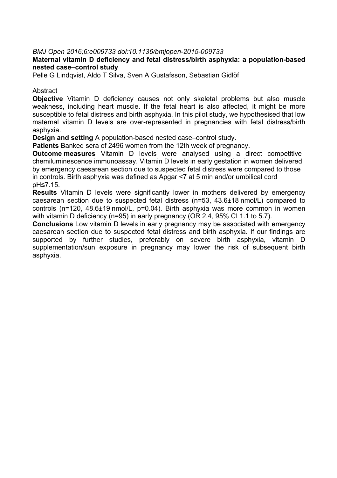# *BMJ Open 2016;6:e009733 doi:10.1136/bmjopen-2015-009733*

# **Maternal vitamin D deficiency and fetal distress/birth asphyxia: a population-based nested case–control study**

Pelle G Lindqvist, Aldo T Silva, Sven A Gustafsson, Sebastian Gidlöf

# **Abstract**

**Objective** Vitamin D deficiency causes not only skeletal problems but also muscle weakness, including heart muscle. If the fetal heart is also affected, it might be more susceptible to fetal distress and birth asphyxia. In this pilot study, we hypothesised that low maternal vitamin D levels are over-represented in pregnancies with fetal distress/birth asphyxia.

**Design and setting** A population-based nested case–control study.

**Patients** Banked sera of 2496 women from the 12th week of pregnancy.

**Outcome measures** Vitamin D levels were analysed using a direct competitive chemiluminescence immunoassay. Vitamin D levels in early gestation in women delivered by emergency caesarean section due to suspected fetal distress were compared to those in controls. Birth asphyxia was defined as Apgar <7 at 5 min and/or umbilical cord pH≤7.15.

**Results** Vitamin D levels were significantly lower in mothers delivered by emergency caesarean section due to suspected fetal distress (n=53, 43.6±18 nmol/L) compared to controls (n=120, 48.6±19 nmol/L, p=0.04). Birth asphyxia was more common in women with vitamin D deficiency (n=95) in early pregnancy (OR 2.4, 95% CI 1.1 to 5.7).

**Conclusions** Low vitamin D levels in early pregnancy may be associated with emergency caesarean section due to suspected fetal distress and birth asphyxia. If our findings are supported by further studies, preferably on severe birth asphyxia, vitamin D supplementation/sun exposure in pregnancy may lower the risk of subsequent birth asphyxia.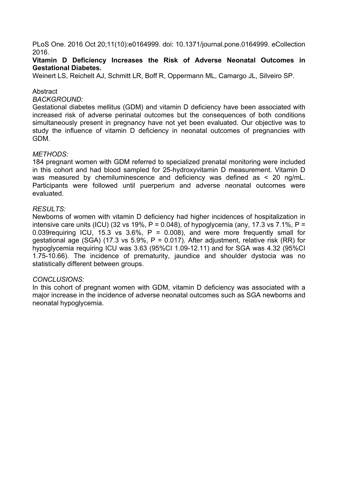PLoS One. 2016 Oct 20;11(10):e0164999. doi: 10.1371/journal.pone.0164999. eCollection 2016.

# **Vitamin D Deficiency Increases the Risk of Adverse Neonatal Outcomes in Gestational Diabetes.**

Weinert LS, Reichelt AJ, Schmitt LR, Boff R, Oppermann ML, Camargo JL, Silveiro SP.

#### **Abstract**

*BACKGROUND:* 

Gestational diabetes mellitus (GDM) and vitamin D deficiency have been associated with increased risk of adverse perinatal outcomes but the consequences of both conditions simultaneously present in pregnancy have not yet been evaluated. Our objective was to study the influence of vitamin D deficiency in neonatal outcomes of pregnancies with GDM.

#### *METHODS:*

184 pregnant women with GDM referred to specialized prenatal monitoring were included in this cohort and had blood sampled for 25-hydroxyvitamin D measurement. Vitamin D was measured by chemiluminescence and deficiency was defined as < 20 ng/mL. Participants were followed until puerperium and adverse neonatal outcomes were evaluated.

#### *RESULTS:*

Newborns of women with vitamin D deficiency had higher incidences of hospitalization in intensive care units (ICU) (32 vs 19%,  $P = 0.048$ ), of hypoglycemia (any, 17.3 vs 7.1%,  $P =$ 0.039 requiring ICU, 15.3 vs  $3.6\%$ , P = 0.008), and were more frequently small for gestational age (SGA) (17.3 vs 5.9%,  $P = 0.017$ ). After adjustment, relative risk (RR) for hypoglycemia requiring ICU was 3.63 (95%CI 1.09-12.11) and for SGA was 4.32 (95%CI 1.75-10.66). The incidence of prematurity, jaundice and shoulder dystocia was no statistically different between groups.

#### *CONCLUSIONS:*

In this cohort of pregnant women with GDM, vitamin D deficiency was associated with a major increase in the incidence of adverse neonatal outcomes such as SGA newborns and neonatal hypoglycemia.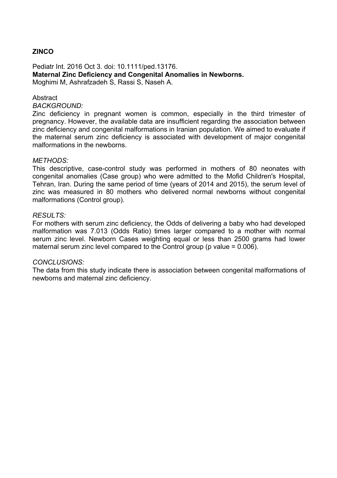# **ZINCO**

Pediatr Int. 2016 Oct 3. doi: 10.1111/ped.13176. **Maternal Zinc Deficiency and Congenital Anomalies in Newborns.**  Moghimi M, Ashrafzadeh S, Rassi S, Naseh A.

#### **Abstract**

#### *BACKGROUND:*

Zinc deficiency in pregnant women is common, especially in the third trimester of pregnancy. However, the available data are insufficient regarding the association between zinc deficiency and congenital malformations in Iranian population. We aimed to evaluate if the maternal serum zinc deficiency is associated with development of major congenital malformations in the newborns.

#### *METHODS:*

This descriptive, case-control study was performed in mothers of 80 neonates with congenital anomalies (Case group) who were admitted to the Mofid Children's Hospital, Tehran, Iran. During the same period of time (years of 2014 and 2015), the serum level of zinc was measured in 80 mothers who delivered normal newborns without congenital malformations (Control group).

#### *RESULTS:*

For mothers with serum zinc deficiency, the Odds of delivering a baby who had developed malformation was 7.013 (Odds Ratio) times larger compared to a mother with normal serum zinc level. Newborn Cases weighting equal or less than 2500 grams had lower maternal serum zinc level compared to the Control group (p value  $= 0.006$ ).

#### *CONCLUSIONS:*

The data from this study indicate there is association between congenital malformations of newborns and maternal zinc deficiency.